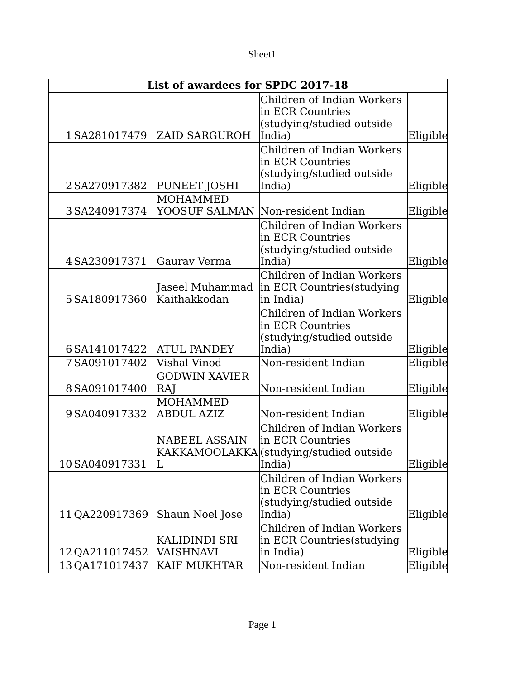|                                 | List of awardees for SPDC 2017-18                        |                                                                                                      |                      |
|---------------------------------|----------------------------------------------------------|------------------------------------------------------------------------------------------------------|----------------------|
| 1SA281017479                    | <b>ZAID SARGUROH</b>                                     | Children of Indian Workers<br>in ECR Countries<br>(studying/studied outside<br>India)                | Eligible             |
|                                 |                                                          | Children of Indian Workers<br>in ECR Countries<br>(studying/studied outside                          |                      |
| 2SA270917382                    | PUNEET JOSHI                                             | India)                                                                                               | Eligible             |
| 3SA240917374                    | <b>MOHAMMED</b>                                          | YOOSUF SALMAN Non-resident Indian                                                                    | Eligible             |
| 4SA230917371                    | Gauray Verma                                             | Children of Indian Workers<br>in ECR Countries<br>(studying/studied outside<br>India)                | Eligible             |
| 5SA180917360                    | Jaseel Muhammad<br>Kaithakkodan                          | Children of Indian Workers<br>in ECR Countries (studying<br>in India)                                | Eligible             |
| 6 SA141017422                   | <b>ATUL PANDEY</b>                                       | Children of Indian Workers<br>in ECR Countries<br>(studying/studied outside<br>India)                | Eligible             |
| 7SA091017402                    | Vishal Vinod                                             | Non-resident Indian                                                                                  | Eligible             |
| 8SA091017400                    | <b>GODWIN XAVIER</b><br>RAJ<br><b>MOHAMMED</b>           | Non-resident Indian                                                                                  | Eligible             |
| 9SA040917332                    | <b>ABDUL AZIZ</b>                                        | Non-resident Indian                                                                                  | Eligible             |
| 10 SA040917331                  | NABEEL ASSAIN<br>L                                       | Children of Indian Workers<br>in ECR Countries<br>KAKKAMOOLAKKA (studying/studied outside<br>[India] | Eligible             |
| 11 QA220917369                  | Shaun Noel Jose                                          | Children of Indian Workers<br>in ECR Countries<br>(studying/studied outside<br>India)                | Eligible             |
| 12 QA211017452<br>13QA171017437 | KALIDINDI SRI<br><b>VAISHNAVI</b><br><b>KAIF MUKHTAR</b> | Children of Indian Workers<br>in ECR Countries (studying<br>in India)<br>Non-resident Indian         | Eligible<br>Eligible |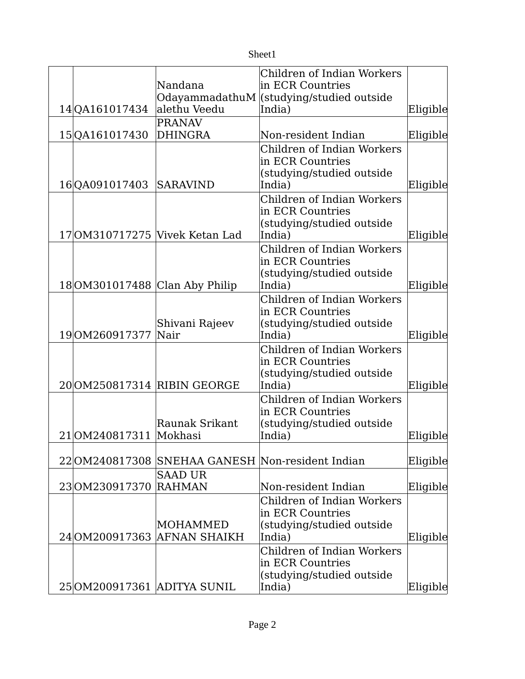|                         |                                  | Children of Indian Workers                         |          |
|-------------------------|----------------------------------|----------------------------------------------------|----------|
|                         | Nandana                          | in ECR Countries                                   |          |
|                         |                                  | OdayammadathuM (studying/studied outside           |          |
| 14 QA161017434          | alethu Veedu                     | India)                                             | Eligible |
|                         | <b>PRANAV</b>                    |                                                    |          |
| 15 QA161017430          | DHINGRA                          | Non-resident Indian                                | Eligible |
|                         |                                  | Children of Indian Workers                         |          |
|                         |                                  | in ECR Countries                                   |          |
|                         |                                  | (studying/studied outside                          |          |
| 16QA091017403           | <b>SARAVIND</b>                  | India)                                             | Eligible |
|                         |                                  | <b>Children of Indian Workers</b>                  |          |
|                         |                                  | in ECR Countries                                   |          |
|                         |                                  | (studying/studied outside                          |          |
|                         | 17 OM310717275   Vivek Ketan Lad | India)                                             | Eligible |
|                         |                                  | <b>Children of Indian Workers</b>                  |          |
|                         |                                  | in ECR Countries                                   |          |
|                         | 18 OM 301017488 Clan Aby Philip  | (studying/studied outside<br>India)                | Eligible |
|                         |                                  | Children of Indian Workers                         |          |
|                         |                                  | in ECR Countries                                   |          |
|                         | Shivani Rajeev                   | (studying/studied outside                          |          |
| 19 OM 260917377 Nair    |                                  | India)                                             | Eligible |
|                         |                                  | <b>Children of Indian Workers</b>                  |          |
|                         |                                  | in ECR Countries                                   |          |
|                         |                                  | (studying/studied outside                          |          |
|                         | 20 OM 250817314 RIBIN GEORGE     | India)                                             | Eligible |
|                         |                                  | Children of Indian Workers                         |          |
|                         |                                  | in ECR Countries                                   |          |
|                         | Raunak Srikant                   | (studying/studied outside                          |          |
| 21 OM 240817311 Mokhasi |                                  | India)                                             | Eligible |
|                         |                                  |                                                    |          |
|                         |                                  | 22 OM240817308  SNEHAA GANESH  Non-resident Indian | Eligible |
|                         | <b>SAAD UR</b>                   |                                                    |          |
| 23 OM 230917370 RAHMAN  |                                  | Non-resident Indian                                | Eligible |
|                         |                                  | Children of Indian Workers                         |          |
|                         |                                  | in ECR Countries                                   |          |
|                         | MOHAMMED                         | (studying/studied outside                          |          |
|                         | 24 OM200917363 AFNAN SHAIKH      | India)                                             | Eligible |
|                         |                                  | Children of Indian Workers                         |          |
|                         |                                  | in ECR Countries                                   |          |
|                         |                                  | (studying/studied outside                          |          |
|                         | 25 OM200917361 ADITYA SUNIL      | India)                                             | Eligible |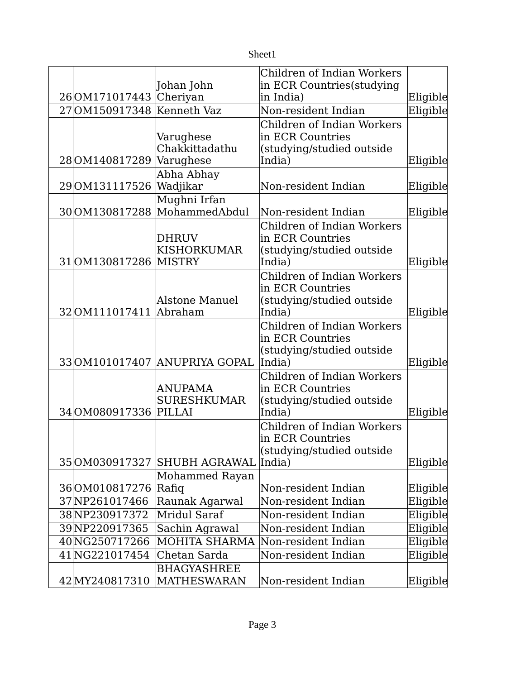26 OM171017443 Eligible Cheriyan 27 OM150917348 Kenneth Vaz Non-resident Indian Eligible 28 OM140817289 Varughese India) Eligible 29|OM131117526 |Wadjikar |Non-resident Indian |Eligible 30 OM130817288 Mohammed Abdul Non-resident Indian Eligible 31 OM130817286 Eligible MISTRY 32 OM111017411 Eligible Abraham 33 OM101017407 ANUPRIYA GOPAL India) Eligible 34 OM080917336 Eligible PILLAI 35 OM030917327 SHUBH AGRAWAL Eligible India) 36 OM010817276 Non-resident Indian Eligible Rafiq 37 NP261017466 Raunak Agarwal Non-resident Indian Eligible 38 NP230917372 Mridul Saraf Non-resident Indian Eligible 39 NP220917365 Sachin Agrawal Non-resident Indian Eligible 40 NG250717266 MOHITA SHARMA Non-resident Indian Eligible 41 NG221017454 Chetan Sarda Non-resident Indian Eligible 42MY240817310 MATHESWARAN Non-resident Indian Eligible Johan John Children of Indian Workers in ECR Countries(studying in India) Varughese Chakkittadathu Varughese Children of Indian Workers in ECR Countries (studying/studied outside India) Abha Abhay Mughni Irfan MohammedAbdul DHRUV KISHORKUMAR Children of Indian Workers in ECR Countries (studying/studied outside India) Alstone Manuel Children of Indian Workers in ECR Countries (studying/studied outside India) Children of Indian Workers in ECR Countries (studying/studied outside India) ANUPAMA SURESHKUMAR Children of Indian Workers in ECR Countries (studying/studied outside India) Children of Indian Workers in ECR Countries (studying/studied outside Mohammed Rayan BHAGYASHREE MATHESWARAN

Sheet1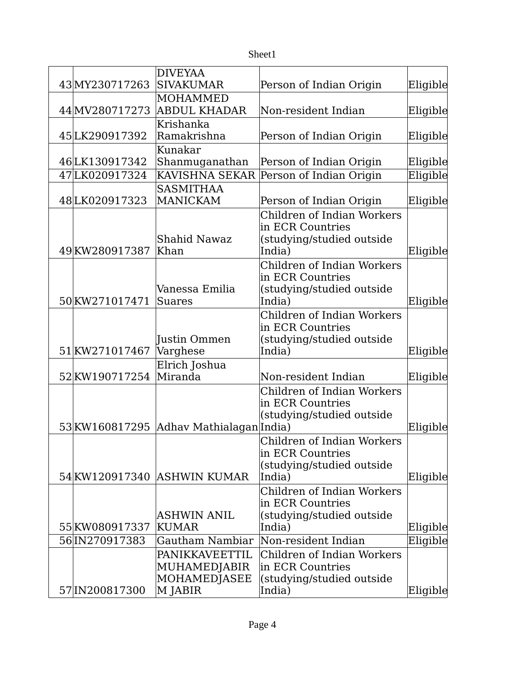|  | 43MY230717263     | <b>DIVEYAA</b><br><b>SIVAKUMAR</b>                               | Person of Indian Origin                                                                      | Eligible |
|--|-------------------|------------------------------------------------------------------|----------------------------------------------------------------------------------------------|----------|
|  |                   | <b>MOHAMMED</b>                                                  |                                                                                              |          |
|  | 44 MV280717273    | <b>ABDUL KHADAR</b>                                              | Non-resident Indian                                                                          | Eligible |
|  | 45LK290917392     | Krishanka<br>Ramakrishna                                         | Person of Indian Origin                                                                      | Eligible |
|  | 46LK130917342     | Kunakar<br>Shanmuganathan                                        | Person of Indian Origin                                                                      | Eligible |
|  | 47LK020917324     | KAVISHNA SEKAR                                                   | Person of Indian Origin                                                                      | Eligible |
|  | 48LK020917323     | <b>SASMITHAA</b><br><b>MANICKAM</b>                              | Person of Indian Origin                                                                      | Eligible |
|  | 49KW280917387     | <b>Shahid Nawaz</b><br>Khan                                      | <b>Children of Indian Workers</b><br>in ECR Countries<br>(studying/studied outside<br>India) | Eligible |
|  | 50 KW271017471    | Vanessa Emilia<br><b>Suares</b>                                  | Children of Indian Workers<br>in ECR Countries<br>(studying/studied outside<br>India)        | Eligible |
|  | 51 KW271017467    | Justin Ommen<br>Varghese                                         | Children of Indian Workers<br>in ECR Countries<br>(studying/studied outside<br>India)        | Eligible |
|  | 52 KW190717254    | Elrich Joshua<br>Miranda                                         | Non-resident Indian                                                                          | Eligible |
|  | 53KW160817295     | Adhav Mathialagan India)                                         | Children of Indian Workers<br>in ECR Countries<br>(studying/studied outside                  | Eligible |
|  |                   | 54 KW120917340 ASHWIN KUMAR                                      | Children of Indian Workers<br>in ECR Countries<br>(studying/studied outside<br>India)        | Eligible |
|  | 55 KW080917337    | ASHWIN ANIL<br><b>KUMAR</b>                                      | <b>Children of Indian Workers</b><br>in ECR Countries<br>(studying/studied outside<br>India) | Eligible |
|  | 56 IN 2709 1738 3 | Gautham Nambiar                                                  | Non-resident Indian                                                                          | Eligible |
|  | 57 IN200817300    | PANIKKAVEETTIL<br><b>MUHAMEDJABIR</b><br>MOHAMEDJASEE<br>M JABIR | Children of Indian Workers<br>in ECR Countries<br>(studying/studied outside<br>India)        | Eligible |
|  |                   |                                                                  |                                                                                              |          |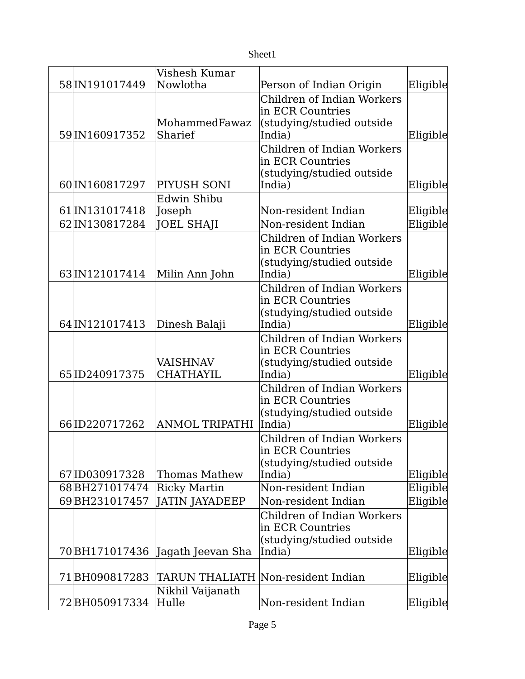|                   |                              | Sheet1                                                                                       |          |
|-------------------|------------------------------|----------------------------------------------------------------------------------------------|----------|
|                   | Vishesh Kumar                |                                                                                              |          |
| 58 IN 1910 17449  | Nowlotha                     | Person of Indian Origin                                                                      | Eligible |
|                   | MohammedFawaz                | Children of Indian Workers<br>in ECR Countries                                               |          |
| 59 IN 1609 1735 2 | Sharief                      | (studying/studied outside<br>India)                                                          | Eligible |
|                   |                              | Children of Indian Workers<br>in ECR Countries<br>(studying/studied outside                  |          |
| 60 IN 160817297   | PIYUSH SONI                  | India)                                                                                       | Eligible |
|                   | Edwin Shibu                  |                                                                                              |          |
| 61 IN 1310 17418  | Joseph                       | Non-resident Indian                                                                          | Eligible |
| 62 IN 130817284   | JOEL SHAJI                   | Non-resident Indian                                                                          | Eligible |
| 63 IN 1210 17414  | Milin Ann John               | Children of Indian Workers<br>in ECR Countries<br>(studying/studied outside<br>India)        | Eligible |
|                   |                              | <b>Children of Indian Workers</b><br>in ECR Countries<br>(studying/studied outside           |          |
| 64 IN 1210 17413  | Dinesh Balaji                | India)                                                                                       | Eligible |
| 65 ID 2409 17375  | VAISHNAV<br><b>CHATHAYIL</b> | <b>Children of Indian Workers</b><br>in ECR Countries<br>(studying/studied outside<br>India) | Eligible |
| 66 ID220717262    | ANMOL TRIPATHI               | Children of Indian Workers<br>in ECR Countries<br>(studying/studied outside<br>India)        | Eligible |
| 67 ID030917328    | Thomas Mathew                | Children of Indian Workers<br>in ECR Countries<br>(studying/studied outside<br>India)        | Eligible |
| 68BH271017474     | <b>Ricky Martin</b>          | Non-resident Indian                                                                          | Eligible |
| 69BH231017457     | <b>JATIN JAYADEEP</b>        | Non-resident Indian                                                                          | Eligible |
|                   |                              | Children of Indian Workers<br>in ECR Countries<br>(studying/studied outside                  |          |
| 70BH171017436     | Jagath Jeevan Sha            | India)                                                                                       | Eligible |
| 71BH090817283     |                              | TARUN THALIATH  Non-resident Indian                                                          | Eligible |
| 72BH050917334     | Nikhil Vaijanath<br>Hulle    | Non-resident Indian                                                                          | Eligible |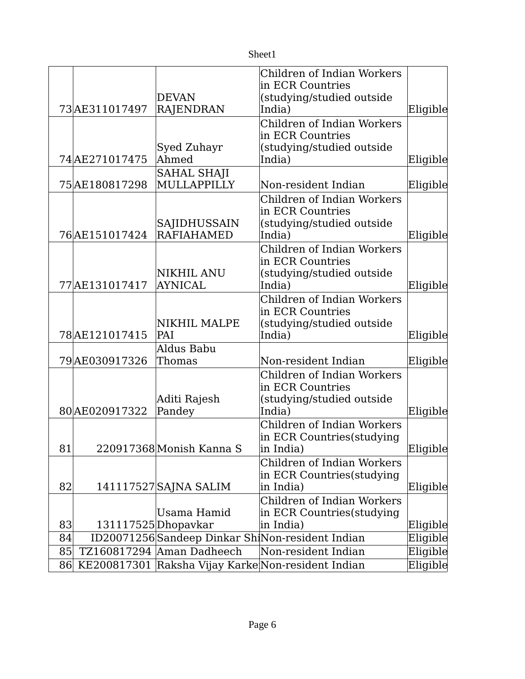| ۹T<br>ro<br>١ΠP |  |
|-----------------|--|
|                 |  |

|    |               | <b>DEVAN</b>              | Children of Indian Workers<br>in ECR Countries<br>(studying/studied outside |          |
|----|---------------|---------------------------|-----------------------------------------------------------------------------|----------|
|    | 73AE311017497 | <b>RAJENDRAN</b>          | India)                                                                      | Eligible |
|    |               |                           | Children of Indian Workers                                                  |          |
|    |               |                           | in ECR Countries                                                            |          |
|    |               | Syed Zuhayr               | (studying/studied outside                                                   |          |
|    | 74AE271017475 | Ahmed                     | India)                                                                      | Eligible |
|    |               | <b>SAHAL SHAJI</b>        |                                                                             |          |
|    | 75AE180817298 | MULLAPPILLY               | Non-resident Indian                                                         | Eligible |
|    |               |                           | Children of Indian Workers<br>in ECR Countries                              |          |
|    |               | SAJIDHUSSAIN              | (studying/studied outside                                                   |          |
|    | 76AE151017424 | <b>RAFIAHAMED</b>         | India)                                                                      | Eligible |
|    |               |                           | Children of Indian Workers                                                  |          |
|    |               |                           | in ECR Countries                                                            |          |
|    |               | <b>NIKHIL ANU</b>         | (studying/studied outside                                                   |          |
|    | 77AE131017417 | AYNICAL                   | India)                                                                      | Eligible |
|    |               |                           | Children of Indian Workers                                                  |          |
|    |               |                           | in ECR Countries                                                            |          |
|    |               | NIKHIL MALPE              | (studying/studied outside                                                   |          |
|    | 78AE121017415 | PAI                       | India)                                                                      | Eligible |
|    | 79AE030917326 | Aldus Babu<br>Thomas      | Non-resident Indian                                                         |          |
|    |               |                           |                                                                             | Eligible |
|    |               |                           | Children of Indian Workers<br>in ECR Countries                              |          |
|    |               | Aditi Rajesh              | (studying/studied outside                                                   |          |
|    | 80AE020917322 | Pandey                    | India)                                                                      | Eligible |
|    |               |                           | Children of Indian Workers                                                  |          |
|    |               |                           | in ECR Countries (studying                                                  |          |
| 81 |               | 220917368 Monish Kanna S  | in India)                                                                   | Eligible |
|    |               |                           | Children of Indian Workers                                                  |          |
|    |               |                           | in ECR Countries (studying                                                  |          |
| 82 |               | 141117527 SAJNA SALIM     | in India)                                                                   | Eligible |
|    |               |                           | Children of Indian Workers                                                  |          |
|    |               | Usama Hamid               | in ECR Countries (studying                                                  |          |
| 83 |               | 131117525Dhopavkar        | in India)                                                                   | Eligible |
| 84 |               |                           | ID20071256 Sandeep Dinkar ShiNon-resident Indian                            | Eligible |
| 85 |               | TZ160817294 Aman Dadheech | Non-resident Indian                                                         | Eligible |
| 86 |               |                           | KE200817301 Raksha Vijay Karke Non-resident Indian                          | Eligible |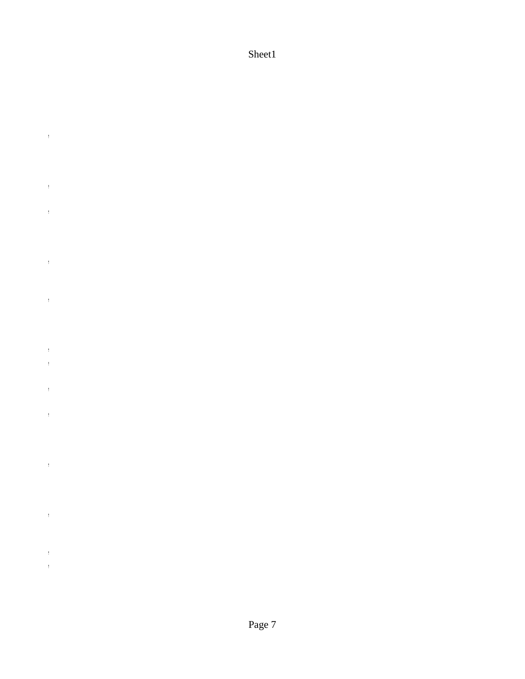Eligible

 $\frac{1}{\epsilon}$ 

 $\mathbf{E}^{\text{max}}$ 

 $\mathbf{E}$ 

 $\hat{\mathbf{F}}$ 

 $\frac{1}{\epsilon}$  $\hat{\mathbf{F}}$ 

 $\frac{1}{\epsilon}$ 

 $\hat{\mathbf{F}}$ 

 $\mathbf{F}$ 

 $\hat{\mathbf{F}}$ 

 $\hat{\mathbf{F}}$  $\hat{\mathbf{F}}$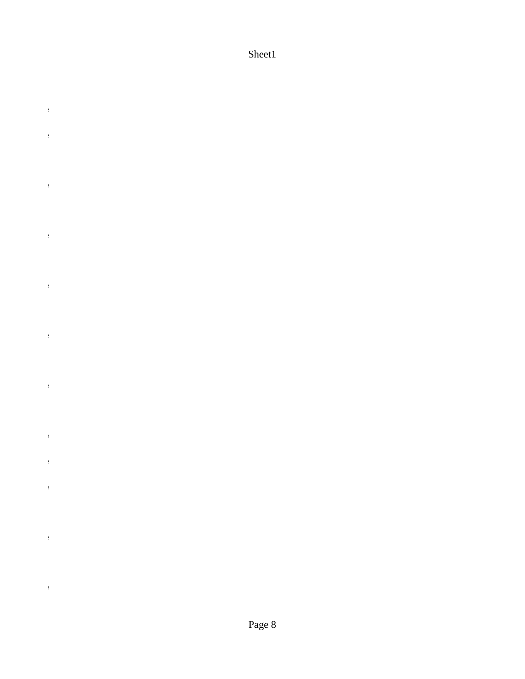$\frac{1}{\epsilon}$  $\hat{\mathbf{F}}$  $\mathbf{F}$  $\hat{\mathbf{F}}$  $\hat{\mathbf{E}}$  $\hat{\mathbf{E}}$  $\langle \rangle$  $\hat{\mathbf{F}}$  $\hat{\mathbf{F}}$  $\hat{\mathbf{F}}$  $\mathbf{F}$  $\frac{1}{\epsilon}$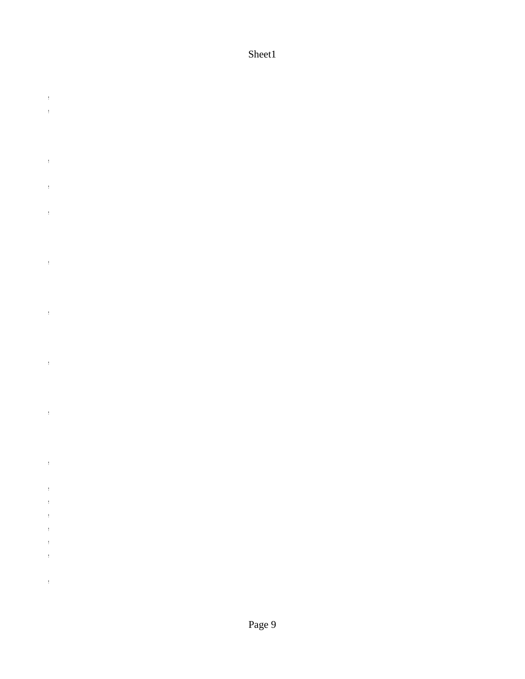$\mathcal{L}$ 

 $\hat{\mathbf{E}}$  $\mathbf{F}$ Eligible  $\ddot{\mathbf{F}}$  $\mathbf{E}$  $\frac{1}{\epsilon}$  $\frac{1}{\epsilon}$  $\bar{\Psi}$ Eligible Eligible Eligible Eligible Eligible Eligible Eligible  $\frac{1}{2}$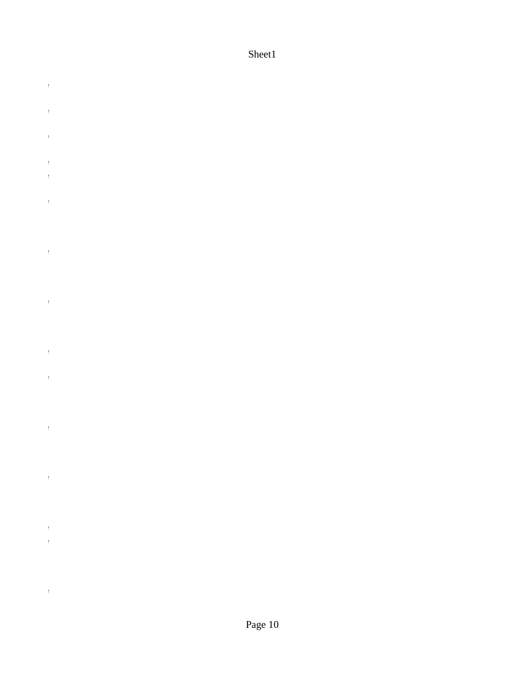$\mathbf{E}$ 

 $\frac{1}{\epsilon}$ 

 $\frac{1}{\epsilon}$ 

 $\hat{\mathbf{F}}$ 

 $\hat{\mathbf{E}}$ 

 $\hat{\mathbf{F}}$ 

 $\hat{\mathbf{F}}$ 

 $\hat{\mathbf{F}}$ 

 $\frac{1}{\sqrt{2}}$ 

 $\mathbf{E}$ 

 $\frac{1}{2}$  $\frac{1}{2}$ 

 $\mathbf{E}^{\text{max}}$ 

Eligible Eligible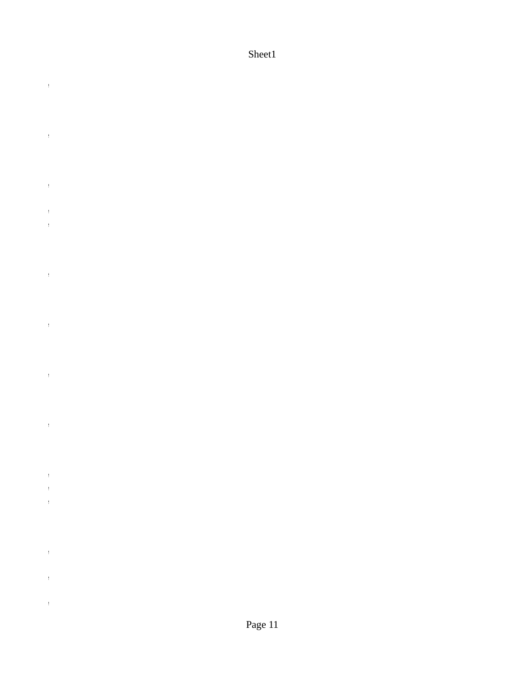$\frac{1}{2}$ 

 $\hat{\mathbf{F}}$ 

 $\bar{\mathcal{F}}$ 

 $\frac{1}{\epsilon}$  $\hat{\mathbf{F}}$ 

 $\mathbf{E}$ 

 $\mathbf{E}^{\text{L}}$ 

 $\widetilde{E}^{(1)}$ 

 $\frac{1}{2}$ 

Eligible

 $\hat{\mathbf{F}}$ 

 $\frac{1}{\epsilon}$ 

 $\frac{1}{2}$ 

Eligible Eligible